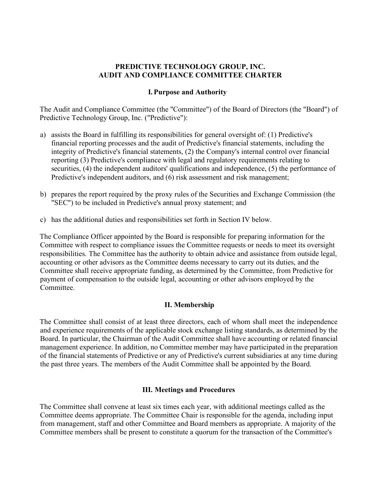# **PREDICTIVE TECHNOLOGY GROUP, INC. AUDIT AND COMPLIANCE COMMITTEE CHARTER**

#### **I. Purpose and Authority**

The Audit and Compliance Committee (the "Committee") of the Board of Directors (the "Board") of Predictive Technology Group, Inc. ("Predictive"):

- a) assists the Board in fulfilling its responsibilities for general oversight of: (1) Predictive's financial reporting processes and the audit of Predictive's financial statements, including the integrity of Predictive's financial statements, (2) the Company's internal control over financial reporting (3) Predictive's compliance with legal and regulatory requirements relating to securities, (4) the independent auditors' qualifications and independence, (5) the performance of Predictive's independent auditors, and (6) risk assessment and risk management;
- b) prepares the report required by the proxy rules of the Securities and Exchange Commission (the "SEC") to be included in Predictive's annual proxy statement; and
- c) has the additional duties and responsibilities set forth in Section IV below.

The Compliance Officer appointed by the Board is responsible for preparing information for the Committee with respect to compliance issues the Committee requests or needs to meet its oversight responsibilities. The Committee has the authority to obtain advice and assistance from outside legal, accounting or other advisors as the Committee deems necessary to carry out its duties, and the Committee shall receive appropriate funding, as determined by the Committee, from Predictive for payment of compensation to the outside legal, accounting or other advisors employed by the **Committee** 

# **II. Membership**

The Committee shall consist of at least three directors, each of whom shall meet the independence and experience requirements of the applicable stock exchange listing standards, as determined by the Board. In particular, the Chairman of the Audit Committee shall have accounting or related financial management experience. In addition, no Committee member may have participated in the preparation of the financial statements of Predictive or any of Predictive's current subsidiaries at any time during the past three years. The members of the Audit Committee shall be appointed by the Board.

#### **III. Meetings and Procedures**

The Committee shall convene at least six times each year, with additional meetings called as the Committee deems appropriate. The Committee Chair is responsible for the agenda, including input from management, staff and other Committee and Board members as appropriate. A majority of the Committee members shall be present to constitute a quorum for the transaction of the Committee's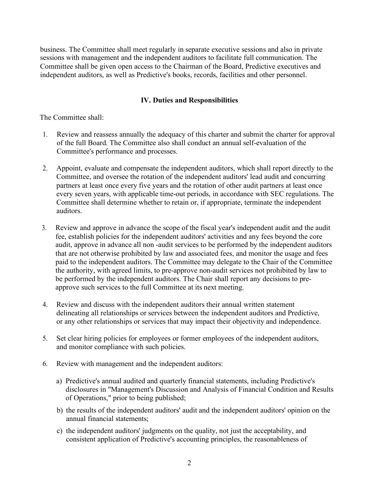business. The Committee shall meet regularly in separate executive sessions and also in private sessions with management and the independent auditors to facilitate full communication. The Committee shall be given open access to the Chairman of the Board, Predictive executives and independent auditors, as well as Predictive's books, records, facilities and other personnel.

# **IV. Duties and Responsibilities**

The Committee shall:

- 1. Review and reassess annually the adequacy of this charter and submit the charter for approval of the full Board. The Committee also shall conduct an annual self-evaluation of the Committee's performance and processes.
- 2. Appoint, evaluate and compensate the independent auditors, which shall report directly to the Committee, and oversee the rotation of the independent auditors' lead audit and concurring partners at least once every five years and the rotation of other audit partners at least once every seven years, with applicable time-out periods, in accordance with SEC regulations. The Committee shall determine whether to retain or, if appropriate, terminate the independent auditors.
- 3. Review and approve in advance the scope of the fiscal year's independent audit and the audit fee, establish policies for the independent auditors' activities and any fees beyond the core audit, approve in advance all non -audit services to be performed by the independent auditors that are not otherwise prohibited by law and associated fees, and monitor the usage and fees paid to the independent auditors. The Committee may delegate to the Chair of the Committee the authority, with agreed limits, to pre-approve non-audit services not prohibited by law to be performed by the independent auditors. The Chair shall report any decisions to preapprove such services to the full Committee at its next meeting.
- 4. Review and discuss with the independent auditors their annual written statement delineating all relationships or services between the independent auditors and Predictive, or any other relationships or services that may impact their objectivity and independence.
- 5. Set clear hiring policies for employees or former employees of the independent auditors, and monitor compliance with such policies.
- 6. Review with management and the independent auditors:
	- a) Predictive's annual audited and quarterly financial statements, including Predictive's disclosures in "Management's Discussion and Analysis of Financial Condition and Results of Operations," prior to being published;
	- b) the results of the independent auditors' audit and the independent auditors' opinion on the annual financial statements;
	- c) the independent auditors' judgments on the quality, not just the acceptability, and consistent application of Predictive's accounting principles, the reasonableness of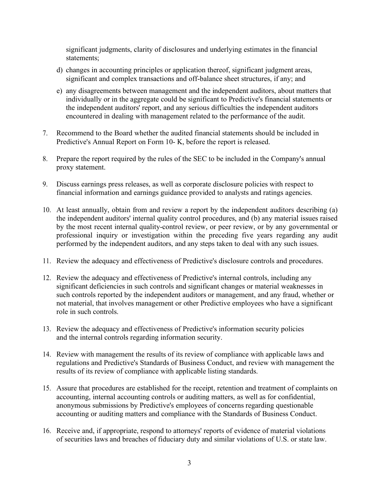significant judgments, clarity of disclosures and underlying estimates in the financial statements;

- d) changes in accounting principles or application thereof, significant judgment areas, significant and complex transactions and off-balance sheet structures, if any; and
- e) any disagreements between management and the independent auditors, about matters that individually or in the aggregate could be significant to Predictive's financial statements or the independent auditors' report, and any serious difficulties the independent auditors encountered in dealing with management related to the performance of the audit.
- 7. Recommend to the Board whether the audited financial statements should be included in Predictive's Annual Report on Form 10- K, before the report is released.
- 8. Prepare the report required by the rules of the SEC to be included in the Company's annual proxy statement.
- 9. Discuss earnings press releases, as well as corporate disclosure policies with respect to financial information and earnings guidance provided to analysts and ratings agencies.
- 10. At least annually, obtain from and review a report by the independent auditors describing (a) the independent auditors' internal quality control procedures, and (b) any material issues raised by the most recent internal quality-control review, or peer review, or by any governmental or professional inquiry or investigation within the preceding five years regarding any audit performed by the independent auditors, and any steps taken to deal with any such issues.
- 11. Review the adequacy and effectiveness of Predictive's disclosure controls and procedures.
- 12. Review the adequacy and effectiveness of Predictive's internal controls, including any significant deficiencies in such controls and significant changes or material weaknesses in such controls reported by the independent auditors or management, and any fraud, whether or not material, that involves management or other Predictive employees who have a significant role in such controls.
- 13. Review the adequacy and effectiveness of Predictive's information security policies and the internal controls regarding information security.
- 14. Review with management the results of its review of compliance with applicable laws and regulations and Predictive's Standards of Business Conduct, and review with management the results of its review of compliance with applicable listing standards.
- 15. Assure that procedures are established for the receipt, retention and treatment of complaints on accounting, internal accounting controls or auditing matters, as well as for confidential, anonymous submissions by Predictive's employees of concerns regarding questionable accounting or auditing matters and compliance with the Standards of Business Conduct.
- 16. Receive and, if appropriate, respond to attorneys' reports of evidence of material violations of securities laws and breaches of fiduciary duty and similar violations of U.S. or state law.